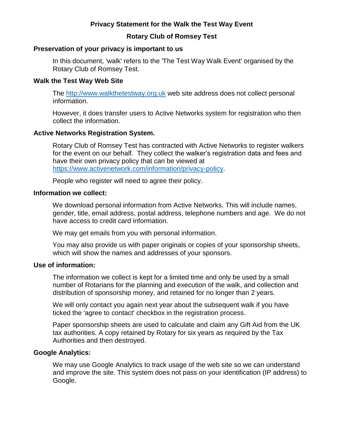# **Privacy Statement for the Walk the Test Way Event**

### **Rotary Club of Romsey Test**

### **Preservation of your privacy is important to us**

In this document, 'walk' refers to the 'The Test Way Walk Event' organised by the Rotary Club of Romsey Test.

### **Walk the Test Way Web Site**

The http://www.walkthetestway.org.uk web site address does not collect personal information.

However, it does transfer users to Active Networks system for registration who then collect the information.

### **Active Networks Registration System.**

Rotary Club of Romsey Test has contracted with Active Networks to register walkers for the event on our behalf. They collect the walker's registration data and fees and have their own privacy policy that can be viewed at https://www.activenetwork.com/information/privacy-policy.

People who register will need to agree their policy.

#### **Information we collect:**

We download personal information from Active Networks. This will include names, gender, title, email address, postal address, telephone numbers and age. We do not have access to credit card information.

We may get emails from you with personal information.

You may also provide us with paper originals or copies of your sponsorship sheets, which will show the names and addresses of your sponsors.

### **Use of information:**

The information we collect is kept for a limited time and only be used by a small number of Rotarians for the planning and execution of the walk, and collection and distribution of sponsorship money, and retained for no longer than 2 years.

We will only contact you again next year about the subsequent walk if you have ticked the 'agree to contact' checkbox in the registration process.

Paper sponsorship sheets are used to calculate and claim any Gift Aid from the UK tax authorities. A copy retained by Rotary for six years as required by the Tax Authorities and then destroyed.

### **Google Analytics:**

We may use Google Analytics to track usage of the web site so we can understand and improve the site. This system does not pass on your identification (IP address) to Google.